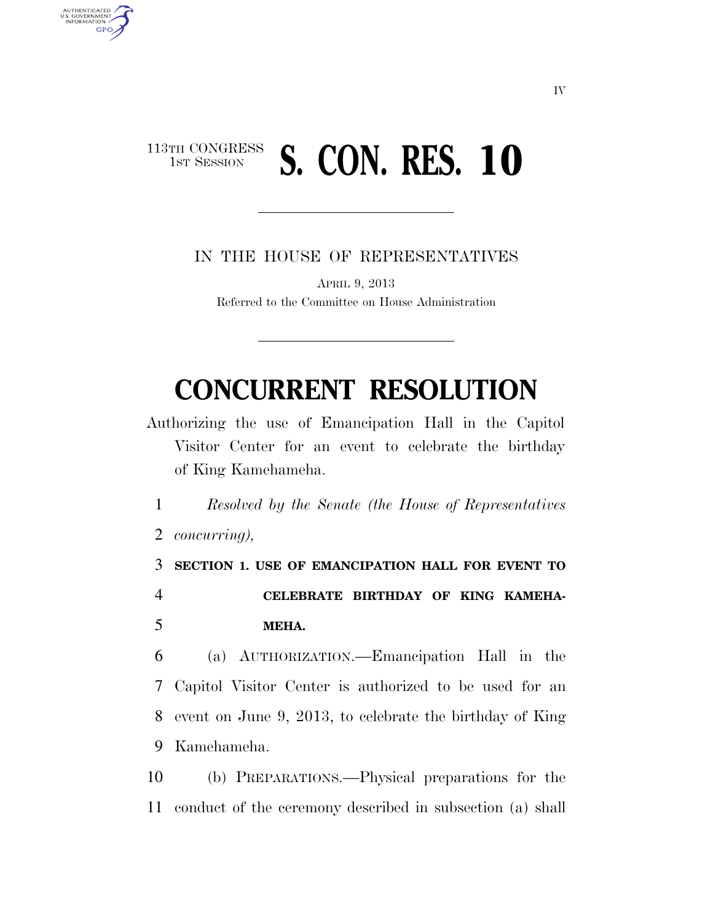## 113TH CONGRESS<br>1st Session **S. CON. RES. 10**

AUTHENTICATED<br>U.S. GOVERNMENT<br>INFORMATION

**GPO** 

IN THE HOUSE OF REPRESENTATIVES

APRIL 9, 2013 Referred to the Committee on House Administration

## **CONCURRENT RESOLUTION**

Authorizing the use of Emancipation Hall in the Capitol Visitor Center for an event to celebrate the birthday of King Kamehameha.

1 *Resolved by the Senate (the House of Representatives*  2 *concurring),* 

3 **SECTION 1. USE OF EMANCIPATION HALL FOR EVENT TO**  4 **CELEBRATE BIRTHDAY OF KING KAMEHA-**5 **MEHA.** 

 (a) AUTHORIZATION.—Emancipation Hall in the Capitol Visitor Center is authorized to be used for an event on June 9, 2013, to celebrate the birthday of King Kamehameha.

10 (b) PREPARATIONS.—Physical preparations for the 11 conduct of the ceremony described in subsection (a) shall